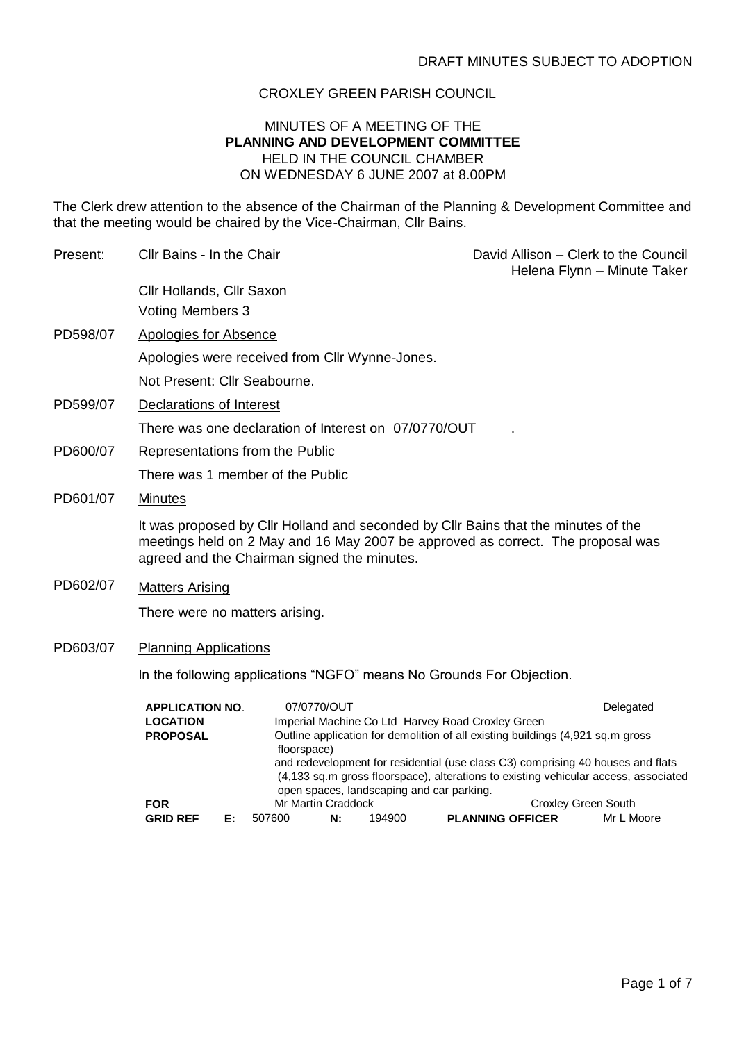## CROXLEY GREEN PARISH COUNCIL

## MINUTES OF A MEETING OF THE **PLANNING AND DEVELOPMENT COMMITTEE** HELD IN THE COUNCIL CHAMBER ON WEDNESDAY 6 JUNE 2007 at 8.00PM

The Clerk drew attention to the absence of the Chairman of the Planning & Development Committee and that the meeting would be chaired by the Vice-Chairman, Cllr Bains.

| Present: | Cllr Bains - In the Chair                                                                                                                                                                                                                                                                                                                       |                                                                                               | David Allison - Clerk to the Council<br>Helena Flynn - Minute Taker |        |  |                         |  |            |  |
|----------|-------------------------------------------------------------------------------------------------------------------------------------------------------------------------------------------------------------------------------------------------------------------------------------------------------------------------------------------------|-----------------------------------------------------------------------------------------------|---------------------------------------------------------------------|--------|--|-------------------------|--|------------|--|
|          | Cllr Hollands, Cllr Saxon                                                                                                                                                                                                                                                                                                                       |                                                                                               |                                                                     |        |  |                         |  |            |  |
|          | <b>Voting Members 3</b>                                                                                                                                                                                                                                                                                                                         |                                                                                               |                                                                     |        |  |                         |  |            |  |
| PD598/07 | <b>Apologies for Absence</b>                                                                                                                                                                                                                                                                                                                    |                                                                                               |                                                                     |        |  |                         |  |            |  |
|          | Apologies were received from Cllr Wynne-Jones.                                                                                                                                                                                                                                                                                                  |                                                                                               |                                                                     |        |  |                         |  |            |  |
|          | Not Present: Cllr Seabourne.                                                                                                                                                                                                                                                                                                                    |                                                                                               |                                                                     |        |  |                         |  |            |  |
| PD599/07 | Declarations of Interest                                                                                                                                                                                                                                                                                                                        |                                                                                               |                                                                     |        |  |                         |  |            |  |
|          | There was one declaration of Interest on 07/0770/OUT                                                                                                                                                                                                                                                                                            |                                                                                               |                                                                     |        |  |                         |  |            |  |
| PD600/07 | <b>Representations from the Public</b>                                                                                                                                                                                                                                                                                                          |                                                                                               |                                                                     |        |  |                         |  |            |  |
|          | There was 1 member of the Public                                                                                                                                                                                                                                                                                                                |                                                                                               |                                                                     |        |  |                         |  |            |  |
| PD601/07 | <b>Minutes</b>                                                                                                                                                                                                                                                                                                                                  |                                                                                               |                                                                     |        |  |                         |  |            |  |
|          | It was proposed by Cllr Holland and seconded by Cllr Bains that the minutes of the<br>meetings held on 2 May and 16 May 2007 be approved as correct. The proposal was<br>agreed and the Chairman signed the minutes.                                                                                                                            |                                                                                               |                                                                     |        |  |                         |  |            |  |
| PD602/07 | <b>Matters Arising</b>                                                                                                                                                                                                                                                                                                                          |                                                                                               |                                                                     |        |  |                         |  |            |  |
|          | There were no matters arising.                                                                                                                                                                                                                                                                                                                  |                                                                                               |                                                                     |        |  |                         |  |            |  |
| PD603/07 | <b>Planning Applications</b>                                                                                                                                                                                                                                                                                                                    |                                                                                               |                                                                     |        |  |                         |  |            |  |
|          | In the following applications "NGFO" means No Grounds For Objection.                                                                                                                                                                                                                                                                            |                                                                                               |                                                                     |        |  |                         |  |            |  |
|          | <b>APPLICATION NO.</b><br><b>LOCATION</b>                                                                                                                                                                                                                                                                                                       |                                                                                               | 07/0770/OUT                                                         |        |  |                         |  | Delegated  |  |
|          | Imperial Machine Co Ltd Harvey Road Croxley Green<br>Outline application for demolition of all existing buildings (4,921 sq.m gross<br><b>PROPOSAL</b><br>floorspace)<br>and redevelopment for residential (use class C3) comprising 40 houses and flats<br>(4,133 sq.m gross floorspace), alterations to existing vehicular access, associated |                                                                                               |                                                                     |        |  |                         |  |            |  |
|          | <b>FOR</b>                                                                                                                                                                                                                                                                                                                                      | open spaces, landscaping and car parking.<br>Mr Martin Craddock<br><b>Croxley Green South</b> |                                                                     |        |  |                         |  |            |  |
|          | <b>GRID REF</b><br>Е:                                                                                                                                                                                                                                                                                                                           | 507600                                                                                        | N:                                                                  | 194900 |  | <b>PLANNING OFFICER</b> |  | Mr L Moore |  |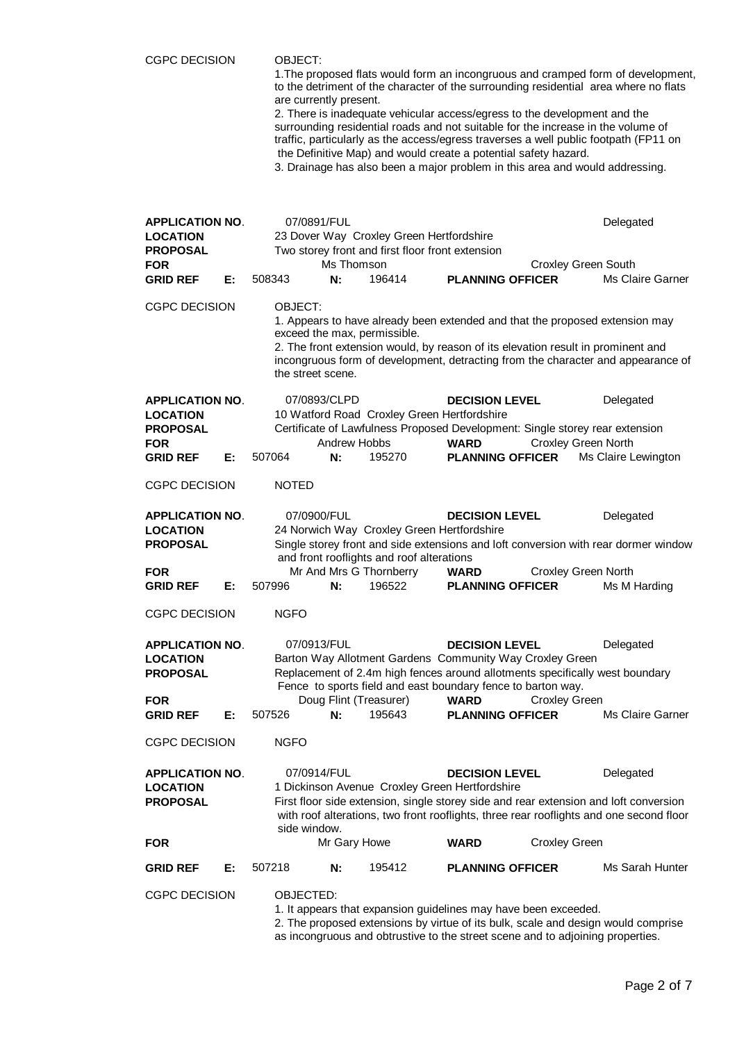| <b>CGPC DECISION</b>                                                                                |    | OBJECT:<br>1. The proposed flats would form an incongruous and cramped form of development,<br>to the detriment of the character of the surrounding residential area where no flats<br>are currently present.<br>2. There is inadequate vehicular access/egress to the development and the<br>surrounding residential roads and not suitable for the increase in the volume of<br>traffic, particularly as the access/egress traverses a well public footpath (FP11 on<br>the Definitive Map) and would create a potential safety hazard.<br>3. Drainage has also been a major problem in this area and would addressing. |                                                                                                                                                                                                                                                      |                                                                                                                              |                                                                                                                                                 |                            |                                                                                                                  |  |
|-----------------------------------------------------------------------------------------------------|----|---------------------------------------------------------------------------------------------------------------------------------------------------------------------------------------------------------------------------------------------------------------------------------------------------------------------------------------------------------------------------------------------------------------------------------------------------------------------------------------------------------------------------------------------------------------------------------------------------------------------------|------------------------------------------------------------------------------------------------------------------------------------------------------------------------------------------------------------------------------------------------------|------------------------------------------------------------------------------------------------------------------------------|-------------------------------------------------------------------------------------------------------------------------------------------------|----------------------------|------------------------------------------------------------------------------------------------------------------|--|
| <b>APPLICATION NO.</b><br><b>LOCATION</b><br><b>PROPOSAL</b><br><b>FOR</b><br><b>GRID REF</b>       | Е: | 07/0891/FUL<br>508343                                                                                                                                                                                                                                                                                                                                                                                                                                                                                                                                                                                                     | Ms Thomson<br>N:                                                                                                                                                                                                                                     | 23 Dover Way Croxley Green Hertfordshire<br>Two storey front and first floor front extension<br>196414                       | <b>PLANNING OFFICER</b>                                                                                                                         | <b>Croxley Green South</b> | Delegated<br><b>Ms Claire Garner</b>                                                                             |  |
| <b>CGPC DECISION</b>                                                                                |    | OBJECT:<br>exceed the max, permissible.<br>the street scene.                                                                                                                                                                                                                                                                                                                                                                                                                                                                                                                                                              | 1. Appears to have already been extended and that the proposed extension may<br>2. The front extension would, by reason of its elevation result in prominent and<br>incongruous form of development, detracting from the character and appearance of |                                                                                                                              |                                                                                                                                                 |                            |                                                                                                                  |  |
| <b>APPLICATION NO.</b><br><b>LOCATION</b><br><b>PROPOSAL</b><br><b>FOR</b><br><b>GRID REF</b>       | Е: | 07/0893/CLPD<br>507064                                                                                                                                                                                                                                                                                                                                                                                                                                                                                                                                                                                                    | <b>Andrew Hobbs</b><br>N:                                                                                                                                                                                                                            | 10 Watford Road Croxley Green Hertfordshire<br>195270                                                                        | <b>DECISION LEVEL</b><br>Certificate of Lawfulness Proposed Development: Single storey rear extension<br><b>WARD</b><br><b>PLANNING OFFICER</b> | <b>Croxley Green North</b> | Delegated<br>Ms Claire Lewington                                                                                 |  |
| <b>CGPC DECISION</b>                                                                                |    | <b>NOTED</b>                                                                                                                                                                                                                                                                                                                                                                                                                                                                                                                                                                                                              |                                                                                                                                                                                                                                                      |                                                                                                                              |                                                                                                                                                 |                            |                                                                                                                  |  |
| <b>APPLICATION NO.</b><br><b>LOCATION</b><br><b>PROPOSAL</b><br><b>FOR</b><br><b>GRID REF</b>       | Е: | 07/0900/FUL<br>507996                                                                                                                                                                                                                                                                                                                                                                                                                                                                                                                                                                                                     | N:                                                                                                                                                                                                                                                   | 24 Norwich Way Croxley Green Hertfordshire<br>and front rooflights and roof alterations<br>Mr And Mrs G Thornberry<br>196522 | <b>DECISION LEVEL</b><br><b>WARD</b><br><b>PLANNING OFFICER</b>                                                                                 | Croxley Green North        | Delegated<br>Single storey front and side extensions and loft conversion with rear dormer window<br>Ms M Harding |  |
| <b>CGPC DECISION</b>                                                                                |    | <b>NGFO</b>                                                                                                                                                                                                                                                                                                                                                                                                                                                                                                                                                                                                               |                                                                                                                                                                                                                                                      |                                                                                                                              |                                                                                                                                                 |                            |                                                                                                                  |  |
| <b>APPLICATION NO.</b><br><b>LOCATION</b><br><b>PROPOSAL</b><br><b>FOR</b><br><b>GRID REF</b><br>Е: |    | 07/0913/FUL<br><b>DECISION LEVEL</b><br>Delegated<br>Barton Way Allotment Gardens Community Way Croxley Green<br>Replacement of 2.4m high fences around allotments specifically west boundary<br>Fence to sports field and east boundary fence to barton way.<br>Doug Flint (Treasurer)<br><b>WARD</b><br><b>Croxley Green</b><br>195643<br>507526<br>N:<br><b>PLANNING OFFICER</b><br>Ms Claire Garner                                                                                                                                                                                                                   |                                                                                                                                                                                                                                                      |                                                                                                                              |                                                                                                                                                 |                            |                                                                                                                  |  |
| <b>CGPC DECISION</b>                                                                                |    | <b>NGFO</b>                                                                                                                                                                                                                                                                                                                                                                                                                                                                                                                                                                                                               |                                                                                                                                                                                                                                                      |                                                                                                                              |                                                                                                                                                 |                            |                                                                                                                  |  |
| <b>APPLICATION NO.</b><br><b>LOCATION</b><br><b>PROPOSAL</b>                                        |    | 07/0914/FUL<br>Delegated<br><b>DECISION LEVEL</b><br>1 Dickinson Avenue Croxley Green Hertfordshire<br>First floor side extension, single storey side and rear extension and loft conversion<br>with roof alterations, two front rooflights, three rear rooflights and one second floor<br>side window.                                                                                                                                                                                                                                                                                                                   |                                                                                                                                                                                                                                                      |                                                                                                                              |                                                                                                                                                 |                            |                                                                                                                  |  |
| <b>FOR</b>                                                                                          |    |                                                                                                                                                                                                                                                                                                                                                                                                                                                                                                                                                                                                                           | Mr Gary Howe                                                                                                                                                                                                                                         |                                                                                                                              | <b>WARD</b>                                                                                                                                     | <b>Croxley Green</b>       |                                                                                                                  |  |
| <b>GRID REF</b><br><b>CGPC DECISION</b>                                                             | Е: | 507218<br>195412<br>Ms Sarah Hunter<br>N:<br><b>PLANNING OFFICER</b><br>OBJECTED:<br>1. It appears that expansion guidelines may have been exceeded.<br>2. The proposed extensions by virtue of its bulk, scale and design would comprise<br>as incongruous and obtrustive to the street scene and to adjoining properties.                                                                                                                                                                                                                                                                                               |                                                                                                                                                                                                                                                      |                                                                                                                              |                                                                                                                                                 |                            |                                                                                                                  |  |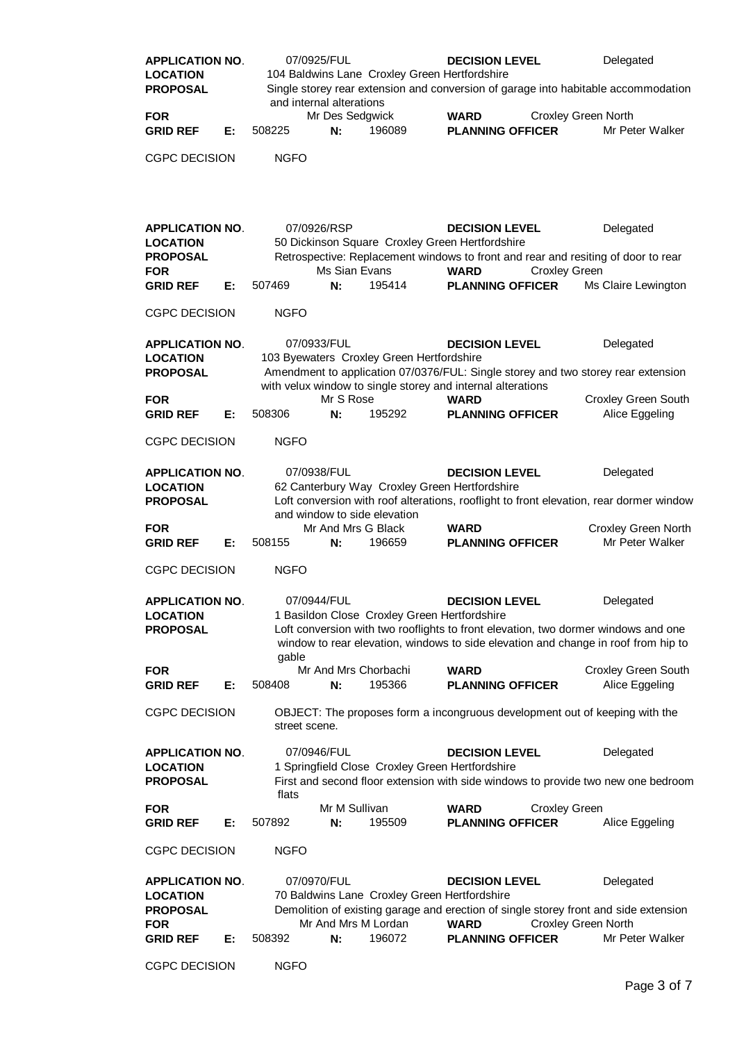| <b>APPLICATION NO.</b><br><b>LOCATION</b><br><b>PROPOSAL</b>                                  |    | 07/0925/FUL<br>104 Baldwins Lane Croxley Green Hertfordshire |                                          |                                                                               | Delegated<br><b>DECISION LEVEL</b><br>Single storey rear extension and conversion of garage into habitable accommodation                                                                                |                            |                                                                                                                                                                                       |
|-----------------------------------------------------------------------------------------------|----|--------------------------------------------------------------|------------------------------------------|-------------------------------------------------------------------------------|---------------------------------------------------------------------------------------------------------------------------------------------------------------------------------------------------------|----------------------------|---------------------------------------------------------------------------------------------------------------------------------------------------------------------------------------|
|                                                                                               |    |                                                              | and internal alterations                 |                                                                               |                                                                                                                                                                                                         |                            |                                                                                                                                                                                       |
| <b>FOR</b><br><b>GRID REF</b>                                                                 | Е: | 508225                                                       | Mr Des Sedgwick<br>N:                    | 196089                                                                        | <b>WARD</b><br><b>PLANNING OFFICER</b>                                                                                                                                                                  | <b>Croxley Green North</b> | Mr Peter Walker                                                                                                                                                                       |
| <b>CGPC DECISION</b>                                                                          |    | <b>NGFO</b>                                                  |                                          |                                                                               |                                                                                                                                                                                                         |                            |                                                                                                                                                                                       |
| <b>APPLICATION NO.</b><br><b>LOCATION</b><br><b>PROPOSAL</b><br><b>FOR</b><br><b>GRID REF</b> | Е: | 507469                                                       | 07/0926/RSP<br>Ms Sian Evans<br>N:       | 195414                                                                        | <b>DECISION LEVEL</b><br>50 Dickinson Square Croxley Green Hertfordshire<br>Retrospective: Replacement windows to front and rear and resiting of door to rear<br><b>WARD</b><br><b>PLANNING OFFICER</b> | <b>Croxley Green</b>       | Delegated<br>Ms Claire Lewington                                                                                                                                                      |
| <b>CGPC DECISION</b>                                                                          |    | <b>NGFO</b>                                                  |                                          |                                                                               |                                                                                                                                                                                                         |                            |                                                                                                                                                                                       |
| <b>APPLICATION NO.</b><br><b>LOCATION</b><br><b>PROPOSAL</b>                                  |    |                                                              | 07/0933/FUL                              | 103 Byewaters Croxley Green Hertfordshire                                     | <b>DECISION LEVEL</b><br>with velux window to single storey and internal alterations                                                                                                                    |                            | Delegated<br>Amendment to application 07/0376/FUL: Single storey and two storey rear extension                                                                                        |
| <b>FOR</b><br><b>GRID REF</b>                                                                 | Е: | 508306                                                       | Mr S Rose<br>N:                          | 195292                                                                        | <b>WARD</b><br><b>PLANNING OFFICER</b>                                                                                                                                                                  |                            | <b>Croxley Green South</b><br>Alice Eggeling                                                                                                                                          |
| <b>CGPC DECISION</b>                                                                          |    | <b>NGFO</b>                                                  |                                          |                                                                               |                                                                                                                                                                                                         |                            |                                                                                                                                                                                       |
| <b>APPLICATION NO.</b><br><b>LOCATION</b><br><b>PROPOSAL</b>                                  |    |                                                              | 07/0938/FUL                              | 62 Canterbury Way Croxley Green Hertfordshire<br>and window to side elevation | <b>DECISION LEVEL</b>                                                                                                                                                                                   |                            | Delegated<br>Loft conversion with roof alterations, rooflight to front elevation, rear dormer window                                                                                  |
| <b>FOR</b><br><b>GRID REF</b>                                                                 | Е: | 508155                                                       | Mr And Mrs G Black<br>N:                 | 196659                                                                        | <b>WARD</b><br><b>PLANNING OFFICER</b>                                                                                                                                                                  |                            | Croxley Green North<br>Mr Peter Walker                                                                                                                                                |
| <b>CGPC DECISION</b>                                                                          |    | <b>NGFO</b>                                                  |                                          |                                                                               |                                                                                                                                                                                                         |                            |                                                                                                                                                                                       |
| <b>APPLICATION NO.</b><br><b>LOCATION</b><br><b>PROPOSAL</b>                                  |    | gable                                                        | 07/0944/FUL                              | 1 Basildon Close Croxley Green Hertfordshire                                  | <b>DECISION LEVEL</b>                                                                                                                                                                                   |                            | Delegated<br>Loft conversion with two rooflights to front elevation, two dormer windows and one<br>window to rear elevation, windows to side elevation and change in roof from hip to |
| <b>FOR</b><br><b>GRID REF</b>                                                                 | Е: | 508408                                                       | Mr And Mrs Chorbachi<br>N:               | 195366                                                                        | <b>WARD</b><br><b>PLANNING OFFICER</b>                                                                                                                                                                  |                            | Croxley Green South<br>Alice Eggeling                                                                                                                                                 |
| <b>CGPC DECISION</b>                                                                          |    | street scene.                                                |                                          |                                                                               | OBJECT: The proposes form a incongruous development out of keeping with the                                                                                                                             |                            |                                                                                                                                                                                       |
| <b>APPLICATION NO.</b><br><b>LOCATION</b><br><b>PROPOSAL</b>                                  |    | flats                                                        | 07/0946/FUL                              | 1 Springfield Close Croxley Green Hertfordshire                               | <b>DECISION LEVEL</b>                                                                                                                                                                                   |                            | Delegated<br>First and second floor extension with side windows to provide two new one bedroom                                                                                        |
| <b>FOR</b><br><b>GRID REF</b>                                                                 | Е: | 507892                                                       | Mr M Sullivan<br>N:                      | 195509                                                                        | <b>WARD</b><br><b>PLANNING OFFICER</b>                                                                                                                                                                  | <b>Croxley Green</b>       | Alice Eggeling                                                                                                                                                                        |
| <b>CGPC DECISION</b>                                                                          |    | <b>NGFO</b>                                                  |                                          |                                                                               |                                                                                                                                                                                                         |                            |                                                                                                                                                                                       |
| <b>APPLICATION NO.</b><br><b>LOCATION</b><br><b>PROPOSAL</b><br><b>FOR</b><br><b>GRID REF</b> | Е: | 508392                                                       | 07/0970/FUL<br>Mr And Mrs M Lordan<br>N: | 70 Baldwins Lane Croxley Green Hertfordshire<br>196072                        | <b>DECISION LEVEL</b><br><b>WARD</b><br><b>PLANNING OFFICER</b>                                                                                                                                         | <b>Croxley Green North</b> | Delegated<br>Demolition of existing garage and erection of single storey front and side extension<br>Mr Peter Walker                                                                  |
| <b>CGPC DECISION</b>                                                                          |    | <b>NGFO</b>                                                  |                                          |                                                                               |                                                                                                                                                                                                         |                            |                                                                                                                                                                                       |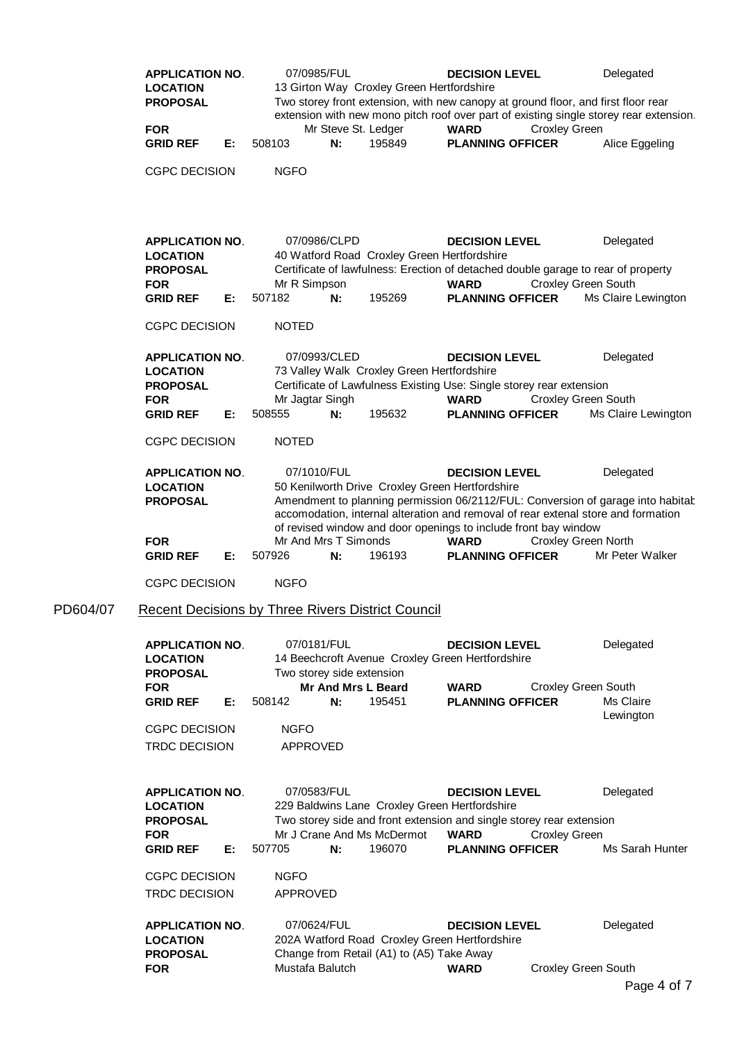| <b>APPLICATION NO.</b><br><b>LOCATION</b><br><b>PROPOSAL</b>                                        | 07/0985/FUL<br><b>DECISION LEVEL</b><br>Delegated<br>13 Girton Way Croxley Green Hertfordshire<br>Two storey front extension, with new canopy at ground floor, and first floor rear<br>extension with new mono pitch roof over part of existing single storey rear extension.                             |                                                                                               |                                  |  |  |  |
|-----------------------------------------------------------------------------------------------------|-----------------------------------------------------------------------------------------------------------------------------------------------------------------------------------------------------------------------------------------------------------------------------------------------------------|-----------------------------------------------------------------------------------------------|----------------------------------|--|--|--|
| <b>FOR</b><br>E:<br><b>GRID REF</b>                                                                 | Mr Steve St. Ledger<br>N:<br>508103<br>195849                                                                                                                                                                                                                                                             | <b>WARD</b><br><b>Croxley Green</b><br><b>PLANNING OFFICER</b>                                | Alice Eggeling                   |  |  |  |
| <b>CGPC DECISION</b>                                                                                | <b>NGFO</b>                                                                                                                                                                                                                                                                                               |                                                                                               |                                  |  |  |  |
| <b>APPLICATION NO.</b><br><b>LOCATION</b><br><b>PROPOSAL</b><br><b>FOR</b><br><b>GRID REF</b><br>Е: | 07/0986/CLPD<br>40 Watford Road Croxley Green Hertfordshire<br>Certificate of lawfulness: Erection of detached double garage to rear of property<br>Mr R Simpson<br>507182<br>N:<br>195269                                                                                                                | <b>DECISION LEVEL</b><br><b>Croxley Green South</b><br><b>WARD</b><br><b>PLANNING OFFICER</b> | Delegated<br>Ms Claire Lewington |  |  |  |
| <b>CGPC DECISION</b>                                                                                | <b>NOTED</b>                                                                                                                                                                                                                                                                                              |                                                                                               |                                  |  |  |  |
| <b>APPLICATION NO.</b><br><b>LOCATION</b><br><b>PROPOSAL</b><br><b>FOR</b><br><b>GRID REF</b><br>Е: | 07/0993/CLED<br>73 Valley Walk Croxley Green Hertfordshire<br>Certificate of Lawfulness Existing Use: Single storey rear extension<br>Mr Jagtar Singh<br>508555<br>N:<br>195632                                                                                                                           | <b>DECISION LEVEL</b><br><b>Croxley Green South</b><br><b>WARD</b><br><b>PLANNING OFFICER</b> | Delegated<br>Ms Claire Lewington |  |  |  |
| <b>CGPC DECISION</b>                                                                                | <b>NOTED</b>                                                                                                                                                                                                                                                                                              |                                                                                               |                                  |  |  |  |
| <b>APPLICATION NO.</b><br><b>LOCATION</b><br><b>PROPOSAL</b>                                        | 07/1010/FUL<br>50 Kenilworth Drive Croxley Green Hertfordshire<br>Amendment to planning permission 06/2112/FUL: Conversion of garage into habitat<br>accomodation, internal alteration and removal of rear extenal store and formation<br>of revised window and door openings to include front bay window | <b>DECISION LEVEL</b>                                                                         | Delegated                        |  |  |  |
| <b>FOR</b><br><b>GRID REF</b><br>Е:                                                                 | Mr And Mrs T Simonds<br>507926<br>N:<br>196193                                                                                                                                                                                                                                                            | <b>WARD</b><br><b>Croxley Green North</b><br><b>PLANNING OFFICER</b>                          | Mr Peter Walker                  |  |  |  |
| <b>CGPC DECISION</b>                                                                                | <b>NGFO</b>                                                                                                                                                                                                                                                                                               |                                                                                               |                                  |  |  |  |
|                                                                                                     | <b>Recent Decisions by Three Rivers District Council</b>                                                                                                                                                                                                                                                  |                                                                                               |                                  |  |  |  |
| <b>APPLICATION NO.</b><br><b>LOCATION</b><br><b>PROPOSAL</b>                                        | 07/0181/FUL<br>14 Beechcroft Avenue Croxley Green Hertfordshire<br>Two storey side extension                                                                                                                                                                                                              | <b>DECISION LEVEL</b>                                                                         | Delegated                        |  |  |  |
| <b>FOR</b><br><b>GRID REF</b><br>Е:                                                                 | <b>Mr And Mrs L Beard</b><br>195451<br>508142<br>N:                                                                                                                                                                                                                                                       | <b>WARD</b><br><b>Croxley Green South</b><br><b>PLANNING OFFICER</b>                          | Ms Claire<br>Lewington           |  |  |  |
| <b>CGPC DECISION</b><br><b>TRDC DECISION</b>                                                        | <b>NGFO</b><br><b>APPROVED</b>                                                                                                                                                                                                                                                                            |                                                                                               |                                  |  |  |  |
| <b>APPLICATION NO.</b><br><b>LOCATION</b><br><b>PROPOSAL</b><br><b>FOR</b>                          | 07/0583/FUL<br>229 Baldwins Lane Croxley Green Hertfordshire<br>Two storey side and front extension and single storey rear extension<br>Mr J Crane And Ms McDermot                                                                                                                                        | <b>DECISION LEVEL</b><br><b>Croxley Green</b><br><b>WARD</b>                                  | Delegated                        |  |  |  |
| <b>GRID REF</b><br>Е:                                                                               | N:<br>196070<br>507705                                                                                                                                                                                                                                                                                    | <b>PLANNING OFFICER</b>                                                                       | Ms Sarah Hunter                  |  |  |  |
| <b>CGPC DECISION</b><br><b>TRDC DECISION</b>                                                        | <b>NGFO</b><br>APPROVED                                                                                                                                                                                                                                                                                   |                                                                                               |                                  |  |  |  |
| <b>APPLICATION NO.</b><br><b>LOCATION</b><br><b>PROPOSAL</b>                                        | 07/0624/FUL<br>202A Watford Road Croxley Green Hertfordshire<br>Change from Retail (A1) to (A5) Take Away                                                                                                                                                                                                 | <b>DECISION LEVEL</b>                                                                         | Delegated                        |  |  |  |
| <b>FOR</b>                                                                                          | Mustafa Balutch                                                                                                                                                                                                                                                                                           | <b>WARD</b><br><b>Croxley Green South</b>                                                     | Page 4 of 7                      |  |  |  |

PD604/07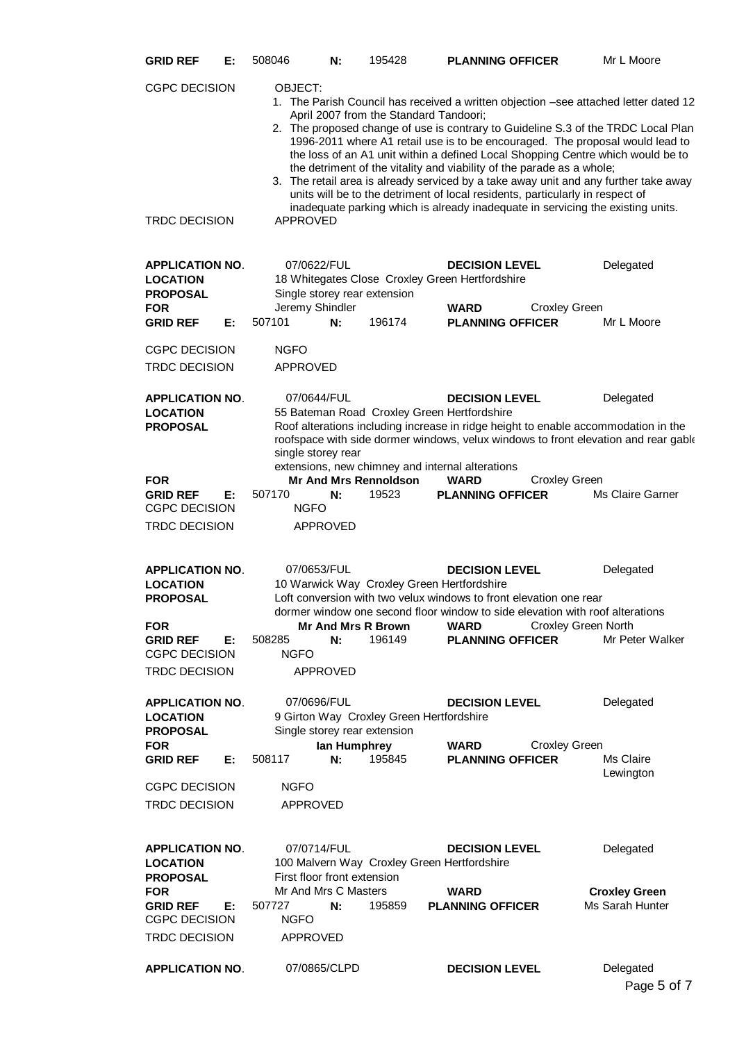| <b>GRID REF</b>                                                                                                                               | Е: | 508046                                                                                                                                                                                                                                                                                                                                                                                                                                                                                                                                                                                                                                                                                                                                                     | N:                    | 195428                                                                             | <b>PLANNING OFFICER</b>                                                                                                                                                                                                                                                                                                                      | Mr L Moore                                          |  |  |  |
|-----------------------------------------------------------------------------------------------------------------------------------------------|----|------------------------------------------------------------------------------------------------------------------------------------------------------------------------------------------------------------------------------------------------------------------------------------------------------------------------------------------------------------------------------------------------------------------------------------------------------------------------------------------------------------------------------------------------------------------------------------------------------------------------------------------------------------------------------------------------------------------------------------------------------------|-----------------------|------------------------------------------------------------------------------------|----------------------------------------------------------------------------------------------------------------------------------------------------------------------------------------------------------------------------------------------------------------------------------------------------------------------------------------------|-----------------------------------------------------|--|--|--|
| <b>CGPC DECISION</b><br><b>TRDC DECISION</b>                                                                                                  |    | OBJECT:<br>1. The Parish Council has received a written objection -see attached letter dated 12<br>April 2007 from the Standard Tandoori;<br>2. The proposed change of use is contrary to Guideline S.3 of the TRDC Local Plan<br>1996-2011 where A1 retail use is to be encouraged. The proposal would lead to<br>the loss of an A1 unit within a defined Local Shopping Centre which would be to<br>the detriment of the vitality and viability of the parade as a whole;<br>3. The retail area is already serviced by a take away unit and any further take away<br>units will be to the detriment of local residents, particularly in respect of<br>inadequate parking which is already inadequate in servicing the existing units.<br><b>APPROVED</b> |                       |                                                                                    |                                                                                                                                                                                                                                                                                                                                              |                                                     |  |  |  |
| <b>APPLICATION NO.</b><br><b>LOCATION</b><br><b>PROPOSAL</b><br><b>FOR</b><br><b>GRID REF</b>                                                 | Е: | 07/0622/FUL<br>Jeremy Shindler<br>507101                                                                                                                                                                                                                                                                                                                                                                                                                                                                                                                                                                                                                                                                                                                   | N:                    | Single storey rear extension<br>196174                                             | <b>DECISION LEVEL</b><br>18 Whitegates Close Croxley Green Hertfordshire<br><b>WARD</b><br><b>Croxley Green</b><br><b>PLANNING OFFICER</b>                                                                                                                                                                                                   | Delegated<br>Mr L Moore                             |  |  |  |
| <b>CGPC DECISION</b><br><b>TRDC DECISION</b>                                                                                                  |    | <b>NGFO</b><br><b>APPROVED</b>                                                                                                                                                                                                                                                                                                                                                                                                                                                                                                                                                                                                                                                                                                                             |                       |                                                                                    |                                                                                                                                                                                                                                                                                                                                              |                                                     |  |  |  |
| <b>APPLICATION NO.</b><br><b>LOCATION</b><br><b>PROPOSAL</b><br><b>FOR</b>                                                                    |    | 07/0644/FUL<br>single storey rear                                                                                                                                                                                                                                                                                                                                                                                                                                                                                                                                                                                                                                                                                                                          |                       | <b>Mr And Mrs Rennoldson</b>                                                       | <b>DECISION LEVEL</b><br>55 Bateman Road Croxley Green Hertfordshire<br>Roof alterations including increase in ridge height to enable accommodation in the<br>roofspace with side dormer windows, velux windows to front elevation and rear gable<br>extensions, new chimney and internal alterations<br><b>Croxley Green</b><br><b>WARD</b> | Delegated                                           |  |  |  |
| <b>GRID REF</b><br><b>CGPC DECISION</b><br><b>TRDC DECISION</b>                                                                               | Е: | 507170<br><b>NGFO</b>                                                                                                                                                                                                                                                                                                                                                                                                                                                                                                                                                                                                                                                                                                                                      | N:<br><b>APPROVED</b> | 19523                                                                              | <b>PLANNING OFFICER</b>                                                                                                                                                                                                                                                                                                                      | Ms Claire Garner                                    |  |  |  |
| <b>APPLICATION NO.</b><br><b>LOCATION</b><br><b>PROPOSAL</b><br><b>FOR</b><br><b>GRID REF</b><br><b>CGPC DECISION</b><br><b>TRDC DECISION</b> | Е: | 07/0653/FUL<br>508285<br><b>NGFO</b>                                                                                                                                                                                                                                                                                                                                                                                                                                                                                                                                                                                                                                                                                                                       | N:<br>APPROVED        | 10 Warwick Way Croxley Green Hertfordshire<br><b>Mr And Mrs R Brown</b><br>196149  | <b>DECISION LEVEL</b><br>Loft conversion with two velux windows to front elevation one rear<br>dormer window one second floor window to side elevation with roof alterations<br><b>WARD</b><br><b>PLANNING OFFICER</b>                                                                                                                       | Delegated<br>Croxley Green North<br>Mr Peter Walker |  |  |  |
| <b>APPLICATION NO.</b><br><b>LOCATION</b><br><b>PROPOSAL</b><br><b>FOR</b><br><b>GRID REF</b>                                                 | Е: | 07/0696/FUL<br>508117                                                                                                                                                                                                                                                                                                                                                                                                                                                                                                                                                                                                                                                                                                                                      | lan Humphrey<br>N:    | 9 Girton Way Croxley Green Hertfordshire<br>Single storey rear extension<br>195845 | <b>DECISION LEVEL</b><br><b>Croxley Green</b><br><b>WARD</b><br><b>PLANNING OFFICER</b>                                                                                                                                                                                                                                                      | Delegated<br>Ms Claire                              |  |  |  |
| <b>CGPC DECISION</b><br><b>TRDC DECISION</b>                                                                                                  |    | <b>NGFO</b><br><b>APPROVED</b>                                                                                                                                                                                                                                                                                                                                                                                                                                                                                                                                                                                                                                                                                                                             |                       |                                                                                    |                                                                                                                                                                                                                                                                                                                                              | Lewington                                           |  |  |  |
| <b>APPLICATION NO.</b><br><b>LOCATION</b><br><b>PROPOSAL</b>                                                                                  |    | 07/0714/FUL<br>First floor front extension                                                                                                                                                                                                                                                                                                                                                                                                                                                                                                                                                                                                                                                                                                                 |                       | 100 Malvern Way Croxley Green Hertfordshire                                        | <b>DECISION LEVEL</b>                                                                                                                                                                                                                                                                                                                        | Delegated                                           |  |  |  |
| <b>FOR</b><br><b>GRID REF</b><br><b>CGPC DECISION</b><br>TRDC DECISION                                                                        | Е: | Mr And Mrs C Masters<br>507727<br><b>NGFO</b><br><b>APPROVED</b>                                                                                                                                                                                                                                                                                                                                                                                                                                                                                                                                                                                                                                                                                           | N:                    | 195859                                                                             | <b>WARD</b><br><b>PLANNING OFFICER</b>                                                                                                                                                                                                                                                                                                       | <b>Croxley Green</b><br>Ms Sarah Hunter             |  |  |  |
| <b>APPLICATION NO.</b>                                                                                                                        |    |                                                                                                                                                                                                                                                                                                                                                                                                                                                                                                                                                                                                                                                                                                                                                            | 07/0865/CLPD          |                                                                                    | <b>DECISION LEVEL</b>                                                                                                                                                                                                                                                                                                                        | Delegated<br>Page 5 of 7                            |  |  |  |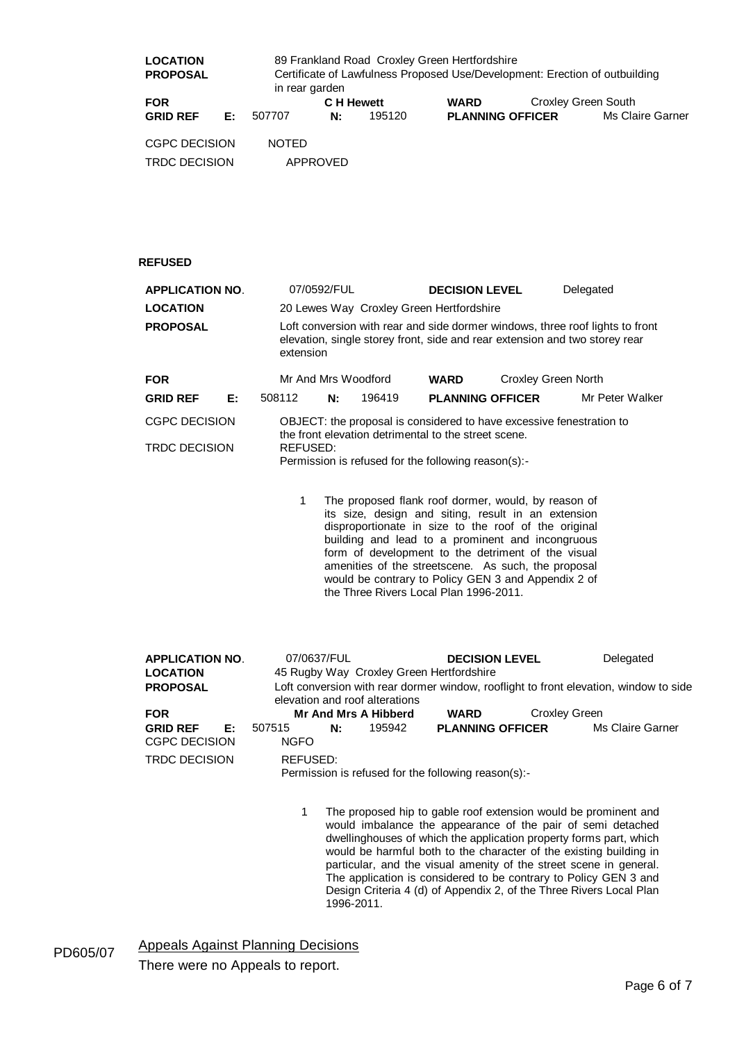| 89 Frankland Road Croxley Green Hertfordshire<br><b>LOCATION</b><br><b>PROPOSAL</b><br>in rear garden |    |              |            |        | Certificate of Lawfulness Proposed Use/Development: Erection of outbuilding |                     |                  |  |
|-------------------------------------------------------------------------------------------------------|----|--------------|------------|--------|-----------------------------------------------------------------------------|---------------------|------------------|--|
| <b>FOR</b>                                                                                            |    |              | C H Hewett |        | <b>WARD</b>                                                                 | Croxley Green South |                  |  |
| <b>GRID REF</b>                                                                                       | E: | 507707       | N:         | 195120 | <b>PLANNING OFFICER</b>                                                     |                     | Ms Claire Garner |  |
| <b>CGPC DECISION</b>                                                                                  |    | <b>NOTED</b> |            |        |                                                                             |                     |                  |  |
| <b>TRDC DECISION</b>                                                                                  |    | APPROVED     |            |        |                                                                             |                     |                  |  |

## **REFUSED**

| <b>APPLICATION NO.</b>                                                                                                                                                                       |      | 07/0592/FUL                                                                                                                                                                                     |                                          | <b>DECISION LEVEL</b>                     |  | Delegated       |  |  |
|----------------------------------------------------------------------------------------------------------------------------------------------------------------------------------------------|------|-------------------------------------------------------------------------------------------------------------------------------------------------------------------------------------------------|------------------------------------------|-------------------------------------------|--|-----------------|--|--|
| <b>LOCATION</b>                                                                                                                                                                              |      |                                                                                                                                                                                                 | 20 Lewes Way Croxley Green Hertfordshire |                                           |  |                 |  |  |
| Loft conversion with rear and side dormer windows, three roof lights to front<br><b>PROPOSAL</b><br>elevation, single storey front, side and rear extension and two storey rear<br>extension |      |                                                                                                                                                                                                 |                                          |                                           |  |                 |  |  |
| <b>FOR</b>                                                                                                                                                                                   |      |                                                                                                                                                                                                 | Mr And Mrs Woodford                      | <b>Croxley Green North</b><br><b>WARD</b> |  |                 |  |  |
| <b>GRID REF</b>                                                                                                                                                                              | Е: . | 508112<br>N.                                                                                                                                                                                    | 196419                                   | <b>PLANNING OFFICER</b>                   |  | Mr Peter Walker |  |  |
| <b>CGPC DECISION</b><br><b>TRDC DECISION</b>                                                                                                                                                 |      | OBJECT: the proposal is considered to have excessive fenestration to<br>the front elevation detrimental to the street scene.<br>REFUSED:<br>Permission is refused for the following reason(s):- |                                          |                                           |  |                 |  |  |
|                                                                                                                                                                                              |      |                                                                                                                                                                                                 |                                          |                                           |  |                 |  |  |

1 The proposed flank roof dormer, would, by reason of its size, design and siting, result in an extension disproportionate in size to the roof of the original building and lead to a prominent and incongruous form of development to the detriment of the visual amenities of the streetscene. As such, the proposal would be contrary to Policy GEN 3 and Appendix 2 of the Three Rivers Local Plan 1996-2011.

| <b>APPLICATION NO.</b>                                                                                                                     | 07/0637/FUL           |                                          |                      | <b>DECISION LEVEL</b>                               |                      | Delegated        |  |  |
|--------------------------------------------------------------------------------------------------------------------------------------------|-----------------------|------------------------------------------|----------------------|-----------------------------------------------------|----------------------|------------------|--|--|
| <b>LOCATION</b>                                                                                                                            |                       | 45 Rugby Way Croxley Green Hertfordshire |                      |                                                     |                      |                  |  |  |
| Loft conversion with rear dormer window, rooflight to front elevation, window to side<br><b>PROPOSAL</b><br>elevation and roof alterations |                       |                                          |                      |                                                     |                      |                  |  |  |
|                                                                                                                                            |                       |                                          |                      |                                                     |                      |                  |  |  |
| <b>FOR</b>                                                                                                                                 |                       |                                          | Mr And Mrs A Hibberd | <b>WARD</b>                                         | <b>Croxley Green</b> |                  |  |  |
| <b>GRID REF</b><br>E:<br><b>CGPC DECISION</b>                                                                                              | 507515<br><b>NGFO</b> | N.                                       | 195942               | <b>PLANNING OFFICER</b>                             |                      | Ms Claire Garner |  |  |
| <b>TRDC DECISION</b>                                                                                                                       | REFUSED:              |                                          |                      | Permission is refused for the following reason(s):- |                      |                  |  |  |

1 The proposed hip to gable roof extension would be prominent and would imbalance the appearance of the pair of semi detached dwellinghouses of which the application property forms part, which would be harmful both to the character of the existing building in particular, and the visual amenity of the street scene in general. The application is considered to be contrary to Policy GEN 3 and Design Criteria 4 (d) of Appendix 2, of the Three Rivers Local Plan 1996-2011.

PD605/07 Appeals Against Planning Decisions There were no Appeals to report.